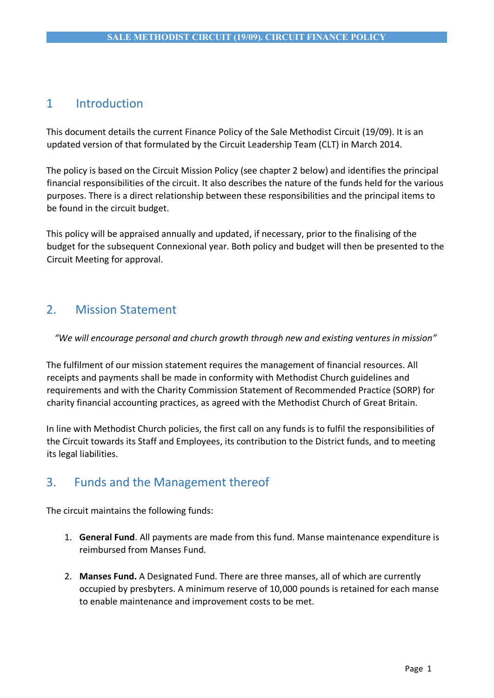# 1 Introduction

This document details the current Finance Policy of the Sale Methodist Circuit (19/09). It is an updated version of that formulated by the Circuit Leadership Team (CLT) in March 2014.

The policy is based on the Circuit Mission Policy (see chapter 2 below) and identifies the principal financial responsibilities of the circuit. It also describes the nature of the funds held for the various purposes. There is a direct relationship between these responsibilities and the principal items to be found in the circuit budget.

This policy will be appraised annually and updated, if necessary, prior to the finalising of the budget for the subsequent Connexional year. Both policy and budget will then be presented to the Circuit Meeting for approval.

# 2. Mission Statement

*"We will encourage personal and church growth through new and existing ventures in mission"*

The fulfilment of our mission statement requires the management of financial resources. All receipts and payments shall be made in conformity with Methodist Church guidelines and requirements and with the Charity Commission Statement of Recommended Practice (SORP) for charity financial accounting practices, as agreed with the Methodist Church of Great Britain.

In line with Methodist Church policies, the first call on any funds is to fulfil the responsibilities of the Circuit towards its Staff and Employees, its contribution to the District funds, and to meeting its legal liabilities.

# 3. Funds and the Management thereof

The circuit maintains the following funds:

- 1. **General Fund**. All payments are made from this fund. Manse maintenance expenditure is reimbursed from Manses Fund.
- 2. **Manses Fund.** A Designated Fund. There are three manses, all of which are currently occupied by presbyters. A minimum reserve of 10,000 pounds is retained for each manse to enable maintenance and improvement costs to be met.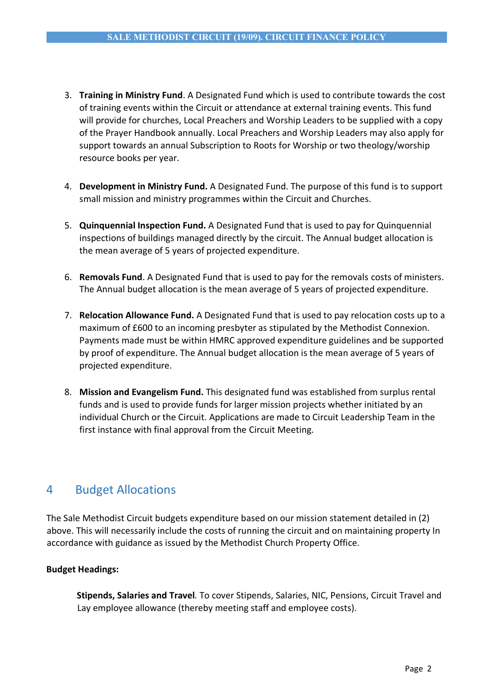- 3. **Training in Ministry Fund**. A Designated Fund which is used to contribute towards the cost of training events within the Circuit or attendance at external training events. This fund will provide for churches, Local Preachers and Worship Leaders to be supplied with a copy of the Prayer Handbook annually. Local Preachers and Worship Leaders may also apply for support towards an annual Subscription to Roots for Worship or two theology/worship resource books per year.
- 4. **Development in Ministry Fund.** A Designated Fund. The purpose of this fund is to support small mission and ministry programmes within the Circuit and Churches.
- 5. **Quinquennial Inspection Fund.** A Designated Fund that is used to pay for Quinquennial inspections of buildings managed directly by the circuit. The Annual budget allocation is the mean average of 5 years of projected expenditure.
- 6. **Removals Fund**. A Designated Fund that is used to pay for the removals costs of ministers. The Annual budget allocation is the mean average of 5 years of projected expenditure.
- 7. **Relocation Allowance Fund.** A Designated Fund that is used to pay relocation costs up to a maximum of £600 to an incoming presbyter as stipulated by the Methodist Connexion. Payments made must be within HMRC approved expenditure guidelines and be supported by proof of expenditure. The Annual budget allocation is the mean average of 5 years of projected expenditure.
- 8. **Mission and Evangelism Fund.** This designated fund was established from surplus rental funds and is used to provide funds for larger mission projects whether initiated by an individual Church or the Circuit. Applications are made to Circuit Leadership Team in the first instance with final approval from the Circuit Meeting.

# 4 Budget Allocations

The Sale Methodist Circuit budgets expenditure based on our mission statement detailed in (2) above. This will necessarily include the costs of running the circuit and on maintaining property In accordance with guidance as issued by the Methodist Church Property Office.

## **Budget Headings:**

**Stipends, Salaries and Travel***.* To cover Stipends, Salaries, NIC, Pensions, Circuit Travel and Lay employee allowance (thereby meeting staff and employee costs).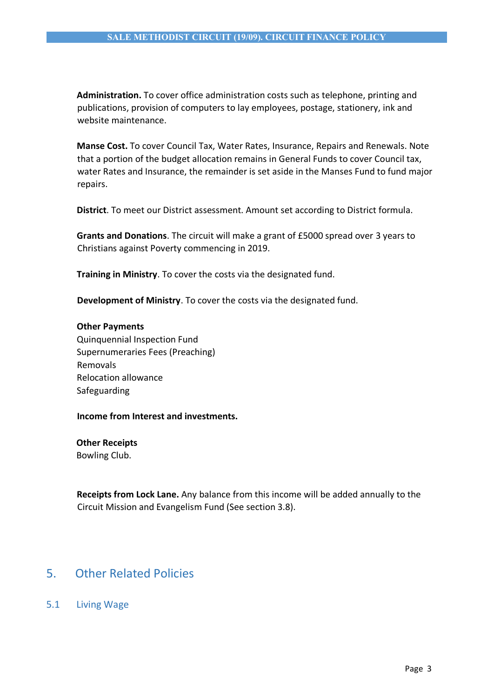**Administration.** To cover office administration costs such as telephone, printing and publications, provision of computers to lay employees, postage, stationery, ink and website maintenance.

**Manse Cost.** To cover Council Tax, Water Rates, Insurance, Repairs and Renewals. Note that a portion of the budget allocation remains in General Funds to cover Council tax, water Rates and Insurance, the remainder is set aside in the Manses Fund to fund major repairs.

**District**. To meet our District assessment. Amount set according to District formula.

**Grants and Donations**. The circuit will make a grant of £5000 spread over 3 years to Christians against Poverty commencing in 2019.

**Training in Ministry**. To cover the costs via the designated fund.

**Development of Ministry**. To cover the costs via the designated fund.

#### **Other Payments**

Quinquennial Inspection Fund Supernumeraries Fees (Preaching) Removals Relocation allowance Safeguarding

#### **Income from Interest and investments.**

**Other Receipts** 

Bowling Club.

**Receipts from Lock Lane.** Any balance from this income will be added annually to the Circuit Mission and Evangelism Fund (See section 3.8).

## 5. Other Related Policies

5.1 Living Wage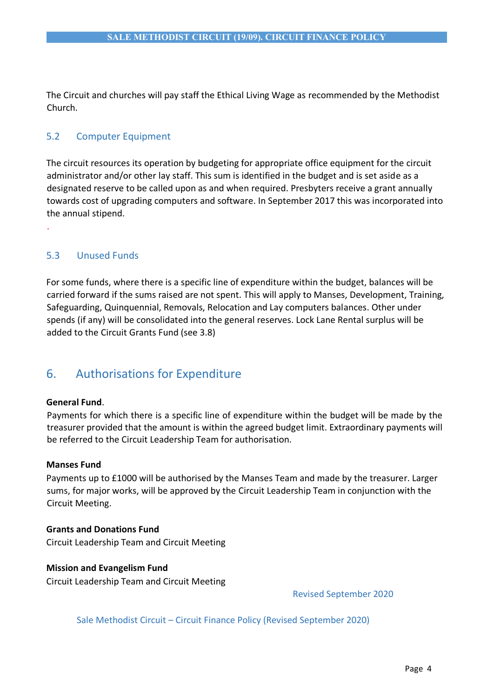The Circuit and churches will pay staff the Ethical Living Wage as recommended by the Methodist Church.

## 5.2 Computer Equipment

The circuit resources its operation by budgeting for appropriate office equipment for the circuit administrator and/or other lay staff. This sum is identified in the budget and is set aside as a designated reserve to be called upon as and when required. Presbyters receive a grant annually towards cost of upgrading computers and software. In September 2017 this was incorporated into the annual stipend.

## 5.3 Unused Funds

.

For some funds, where there is a specific line of expenditure within the budget, balances will be carried forward if the sums raised are not spent. This will apply to Manses, Development, Training, Safeguarding, Quinquennial, Removals, Relocation and Lay computers balances. Other under spends (if any) will be consolidated into the general reserves. Lock Lane Rental surplus will be added to the Circuit Grants Fund (see 3.8)

# 6. Authorisations for Expenditure

### **General Fund**.

Payments for which there is a specific line of expenditure within the budget will be made by the treasurer provided that the amount is within the agreed budget limit. Extraordinary payments will be referred to the Circuit Leadership Team for authorisation.

### **Manses Fund**

Payments up to £1000 will be authorised by the Manses Team and made by the treasurer. Larger sums, for major works, will be approved by the Circuit Leadership Team in conjunction with the Circuit Meeting.

## **Grants and Donations Fund**

Circuit Leadership Team and Circuit Meeting

### **Mission and Evangelism Fund**

Circuit Leadership Team and Circuit Meeting

Revised September 2020

Sale Methodist Circuit – Circuit Finance Policy (Revised September 2020)